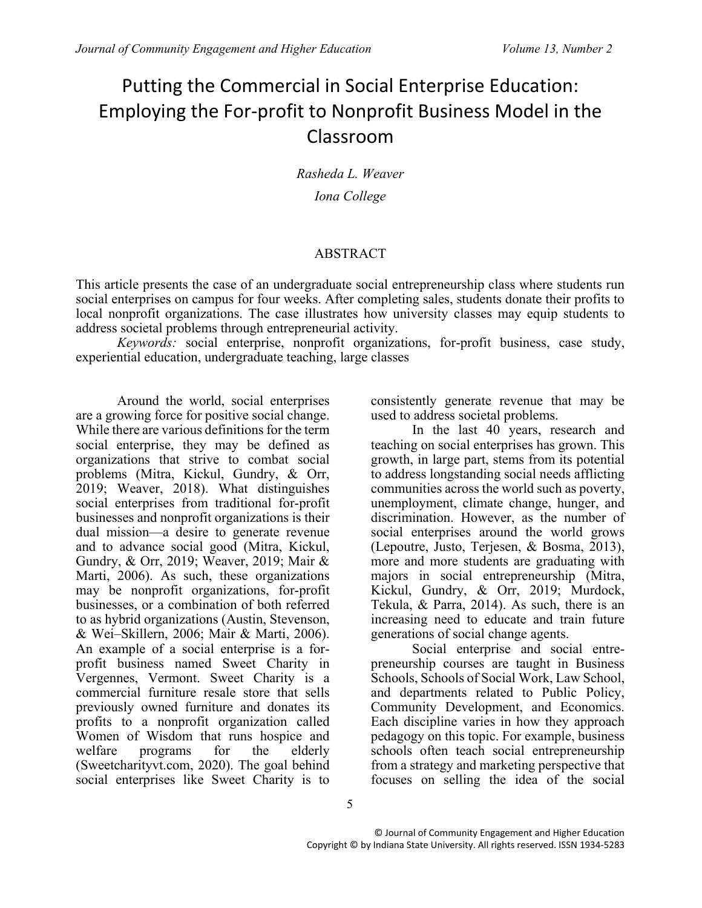# Putting the Commercial in Social Enterprise Education: Employing the For-profit to Nonprofit Business Model in the Classroom

*Rasheda L. Weaver*

*Iona College*

# ABSTRACT

This article presents the case of an undergraduate social entrepreneurship class where students run social enterprises on campus for four weeks. After completing sales, students donate their profits to local nonprofit organizations. The case illustrates how university classes may equip students to address societal problems through entrepreneurial activity.

*Keywords:* social enterprise, nonprofit organizations, for-profit business, case study, experiential education, undergraduate teaching, large classes

Around the world, social enterprises are a growing force for positive social change. While there are various definitions for the term social enterprise, they may be defined as organizations that strive to combat social problems (Mitra, Kickul, Gundry, & Orr, 2019; Weaver, 2018). What distinguishes social enterprises from traditional for-profit businesses and nonprofit organizations is their dual mission—a desire to generate revenue and to advance social good (Mitra, Kickul, Gundry, & Orr, 2019; Weaver, 2019; Mair & Marti, 2006). As such, these organizations may be nonprofit organizations, for-profit businesses, or a combination of both referred to as hybrid organizations (Austin, Stevenson, & Wei–Skillern, 2006; Mair & Marti, 2006). An example of a social enterprise is a forprofit business named Sweet Charity in Vergennes, Vermont. Sweet Charity is a commercial furniture resale store that sells previously owned furniture and donates its profits to a nonprofit organization called Women of Wisdom that runs hospice and welfare programs for the elderly (Sweetcharityvt.com, 2020). The goal behind social enterprises like Sweet Charity is to

consistently generate revenue that may be used to address societal problems.

In the last 40 years, research and teaching on social enterprises has grown. This growth, in large part, stems from its potential to address longstanding social needs afflicting communities across the world such as poverty, unemployment, climate change, hunger, and discrimination. However, as the number of social enterprises around the world grows (Lepoutre, Justo, Terjesen, & Bosma, 2013), more and more students are graduating with majors in social entrepreneurship (Mitra, Kickul, Gundry, & Orr, 2019; Murdock, Tekula, & Parra, 2014). As such, there is an increasing need to educate and train future generations of social change agents.

Social enterprise and social entrepreneurship courses are taught in Business Schools, Schools of Social Work, Law School, and departments related to Public Policy, Community Development, and Economics. Each discipline varies in how they approach pedagogy on this topic. For example, business schools often teach social entrepreneurship from a strategy and marketing perspective that focuses on selling the idea of the social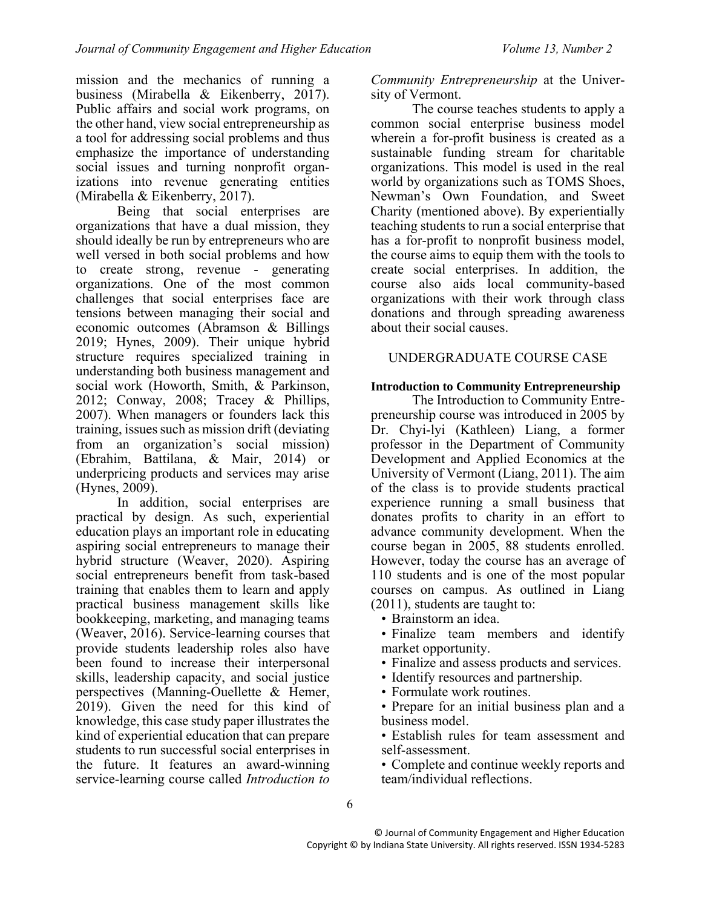mission and the mechanics of running a business (Mirabella & Eikenberry, 2017). Public affairs and social work programs, on the other hand, view social entrepreneurship as a tool for addressing social problems and thus emphasize the importance of understanding social issues and turning nonprofit organizations into revenue generating entities (Mirabella & Eikenberry, 2017).

Being that social enterprises are organizations that have a dual mission, they should ideally be run by entrepreneurs who are well versed in both social problems and how to create strong, revenue - generating organizations. One of the most common challenges that social enterprises face are tensions between managing their social and economic outcomes (Abramson & Billings 2019; Hynes, 2009). Their unique hybrid structure requires specialized training in understanding both business management and social work (Howorth, Smith, & Parkinson, 2012; Conway, 2008; Tracey & Phillips, 2007). When managers or founders lack this training, issues such as mission drift (deviating from an organization's social mission) (Ebrahim, Battilana, & Mair, 2014) or underpricing products and services may arise (Hynes, 2009).

In addition, social enterprises are practical by design. As such, experiential education plays an important role in educating aspiring social entrepreneurs to manage their hybrid structure (Weaver, 2020). Aspiring social entrepreneurs benefit from task-based training that enables them to learn and apply practical business management skills like bookkeeping, marketing, and managing teams (Weaver, 2016). Service-learning courses that provide students leadership roles also have been found to increase their interpersonal skills, leadership capacity, and social justice perspectives (Manning-Ouellette & Hemer, 2019). Given the need for this kind of knowledge, this case study paper illustrates the kind of experiential education that can prepare students to run successful social enterprises in the future. It features an award-winning service-learning course called *Introduction to* 

*Community Entrepreneurship* at the University of Vermont.

The course teaches students to apply a common social enterprise business model wherein a for-profit business is created as a sustainable funding stream for charitable organizations. This model is used in the real world by organizations such as TOMS Shoes, Newman's Own Foundation, and Sweet Charity (mentioned above). By experientially teaching students to run a social enterprise that has a for-profit to nonprofit business model, the course aims to equip them with the tools to create social enterprises. In addition, the course also aids local community-based organizations with their work through class donations and through spreading awareness about their social causes.

# UNDERGRADUATE COURSE CASE

## **Introduction to Community Entrepreneurship**

The Introduction to Community Entrepreneurship course was introduced in 2005 by Dr. Chyi-lyi (Kathleen) Liang, a former professor in the Department of Community Development and Applied Economics at the University of Vermont (Liang, 2011). The aim of the class is to provide students practical experience running a small business that donates profits to charity in an effort to advance community development. When the course began in 2005, 88 students enrolled. However, today the course has an average of 110 students and is one of the most popular courses on campus. As outlined in Liang (2011), students are taught to:

- Brainstorm an idea.
- Finalize team members and identify market opportunity.
- Finalize and assess products and services.
- Identify resources and partnership.
- Formulate work routines.
- Prepare for an initial business plan and a business model.
- Establish rules for team assessment and self-assessment.

• Complete and continue weekly reports and team/individual reflections.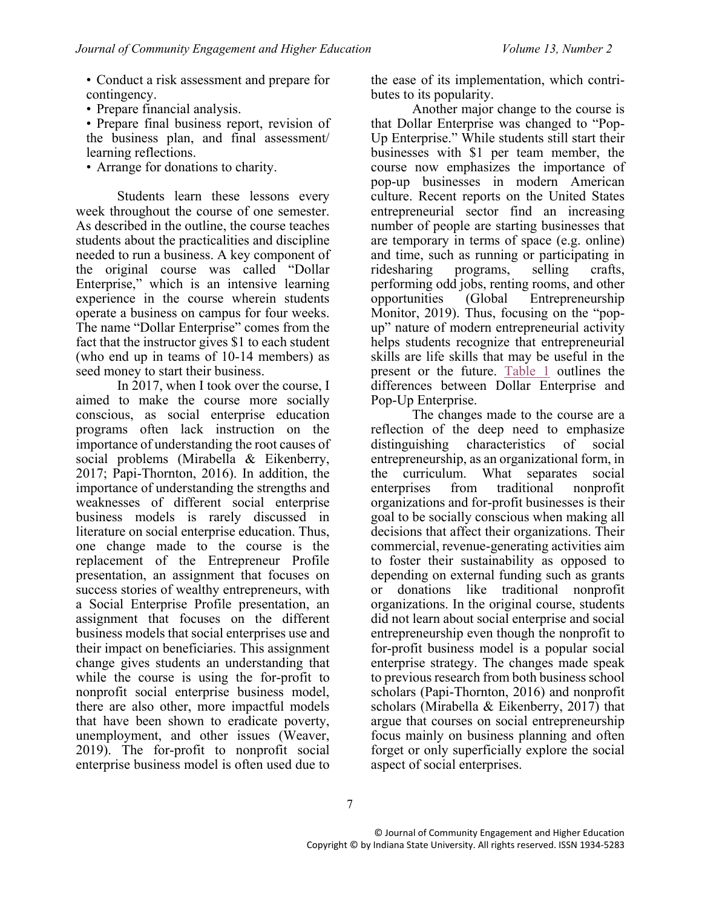• Conduct a risk assessment and prepare for contingency.

- Prepare financial analysis.
- Prepare final business report, revision of the business plan, and final assessment/ learning reflections.
- Arrange for donations to charity.

Students learn these lessons every week throughout the course of one semester. As described in the outline, the course teaches students about the practicalities and discipline needed to run a business. A key component of the original course was called "Dollar Enterprise," which is an intensive learning experience in the course wherein students operate a business on campus for four weeks. The name "Dollar Enterprise" comes from the fact that the instructor gives \$1 to each student (who end up in teams of 10-14 members) as seed money to start their business.

In 2017, when I took over the course, I aimed to make the course more socially conscious, as social enterprise education programs often lack instruction on the importance of understanding the root causes of social problems (Mirabella & Eikenberry, 2017; Papi-Thornton, 2016). In addition, the importance of understanding the strengths and weaknesses of different social enterprise business models is rarely discussed in literature on social enterprise education. Thus, one change made to the course is the replacement of the Entrepreneur Profile presentation, an assignment that focuses on success stories of wealthy entrepreneurs, with a Social Enterprise Profile presentation, an assignment that focuses on the different business models that social enterprises use and their impact on beneficiaries. This assignment change gives students an understanding that while the course is using the for-profit to nonprofit social enterprise business model, there are also other, more impactful models that have been shown to eradicate poverty, unemployment, and other issues (Weaver, 2019). The for-profit to nonprofit social enterprise business model is often used due to

the ease of its implementation, which contributes to its popularity.

Another major change to the course is that Dollar Enterprise was changed to "Pop-Up Enterprise." While students still start their businesses with \$1 per team member, the course now emphasizes the importance of pop-up businesses in modern American culture. Recent reports on the United States entrepreneurial sector find an increasing number of people are starting businesses that are temporary in terms of space (e.g. online) and time, such as running or participating in ridesharing programs, selling crafts, performing odd jobs, renting rooms, and other opportunities (Global Entrepreneurship Monitor, 2019). Thus, focusing on the "popup" nature of modern entrepreneurial activity helps students recognize that entrepreneurial skills are life skills that may be useful in the present or the future. [Table 1](#page-3-0) outlines the differences between Dollar Enterprise and Pop-Up Enterprise.

The changes made to the course are a reflection of the deep need to emphasize distinguishing characteristics of social entrepreneurship, as an organizational form, in the curriculum. What separates social enterprises from traditional nonprofit organizations and for-profit businesses is their goal to be socially conscious when making all decisions that affect their organizations. Their commercial, revenue-generating activities aim to foster their sustainability as opposed to depending on external funding such as grants or donations like traditional nonprofit organizations. In the original course, students did not learn about social enterprise and social entrepreneurship even though the nonprofit to for-profit business model is a popular social enterprise strategy. The changes made speak to previous research from both business school scholars (Papi-Thornton, 2016) and nonprofit scholars (Mirabella & Eikenberry, 2017) that argue that courses on social entrepreneurship focus mainly on business planning and often forget or only superficially explore the social aspect of social enterprises.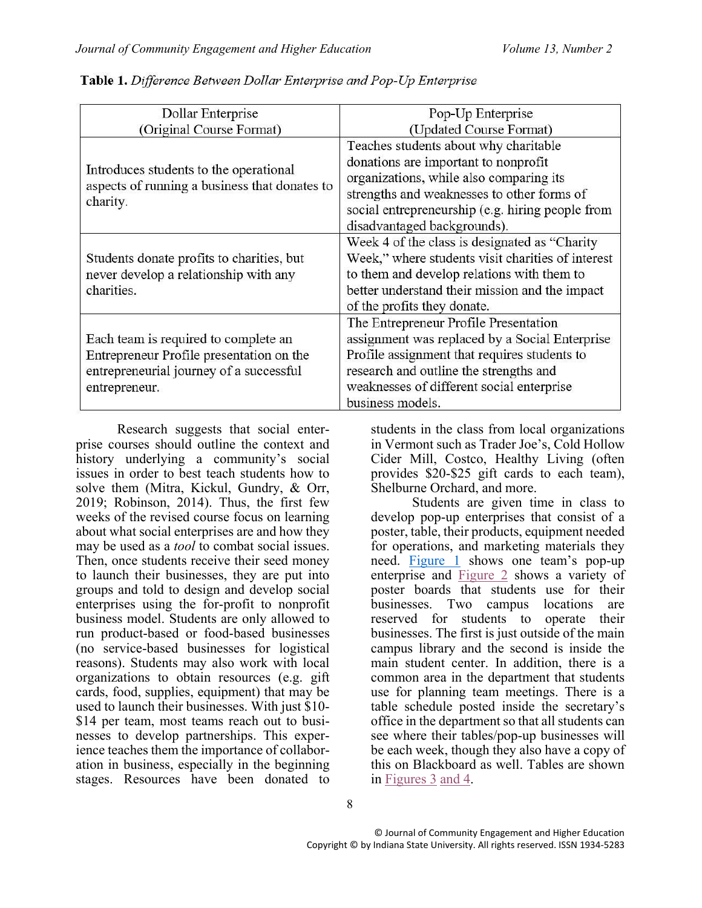| Dollar Enterprise                                                                                                                            | Pop-Up Enterprise                                                                                                                                                                                                                                         |
|----------------------------------------------------------------------------------------------------------------------------------------------|-----------------------------------------------------------------------------------------------------------------------------------------------------------------------------------------------------------------------------------------------------------|
| (Original Course Format)                                                                                                                     | (Updated Course Format)                                                                                                                                                                                                                                   |
| Introduces students to the operational<br>aspects of running a business that donates to<br>charity.                                          | Teaches students about why charitable<br>donations are important to nonprofit<br>organizations, while also comparing its<br>strengths and weaknesses to other forms of<br>social entrepreneurship (e.g. hiring people from<br>disadvantaged backgrounds). |
| Students donate profits to charities, but<br>never develop a relationship with any<br>charities.                                             | Week 4 of the class is designated as "Charity<br>Week," where students visit charities of interest<br>to them and develop relations with them to<br>better understand their mission and the impact<br>of the profits they donate.                         |
| Each team is required to complete an<br>Entrepreneur Profile presentation on the<br>entrepreneurial journey of a successful<br>entrepreneur. | The Entrepreneur Profile Presentation<br>assignment was replaced by a Social Enterprise<br>Profile assignment that requires students to<br>research and outline the strengths and<br>weaknesses of different social enterprise<br>business models.        |

<span id="page-3-0"></span>Table 1. Difference Between Dollar Enterprise and Pop-Up Enterprise

Research suggests that social enterprise courses should outline the context and history underlying a community's social issues in order to best teach students how to solve them (Mitra, Kickul, Gundry, & Orr, 2019; Robinson, 2014). Thus, the first few weeks of the revised course focus on learning about what social enterprises are and how they may be used as a *tool* to combat social issues. Then, once students receive their seed money to launch their businesses, they are put into groups and told to design and develop social enterprises using the for-profit to nonprofit business model. Students are only allowed to run product-based or food-based businesses (no service-based businesses for logistical reasons). Students may also work with local organizations to obtain resources (e.g. gift cards, food, supplies, equipment) that may be used to launch their businesses. With just \$10- \$14 per team, most teams reach out to businesses to develop partnerships. This experience teaches them the importance of collaboration in business, especially in the beginning stages. Resources have been donated to

students in the class from local organizations in Vermont such as Trader Joe's, Cold Hollow Cider Mill, Costco, Healthy Living (often provides \$20-\$25 gift cards to each team), Shelburne Orchard, and more.

Students are given time in class to develop pop-up enterprises that consist of a poster, table, their products, equipment needed for operations, and marketing materials they need. [Figure 1](#page-4-0) shows one team's pop-up enterprise and [Figure 2](#page-4-1) shows a variety of poster boards that students use for their businesses. Two campus locations are reserved for students to operate their businesses. The first is just outside of the main campus library and the second is inside the main student center. In addition, there is a common area in the department that students use for planning team meetings. There is a table schedule posted inside the secretary's office in the department so that all students can see where their tables/pop-up businesses will be each week, though they also have a copy of this on Blackboard as well. Tables are shown in [Figures 3](#page-4-2) [and 4.](#page-4-3)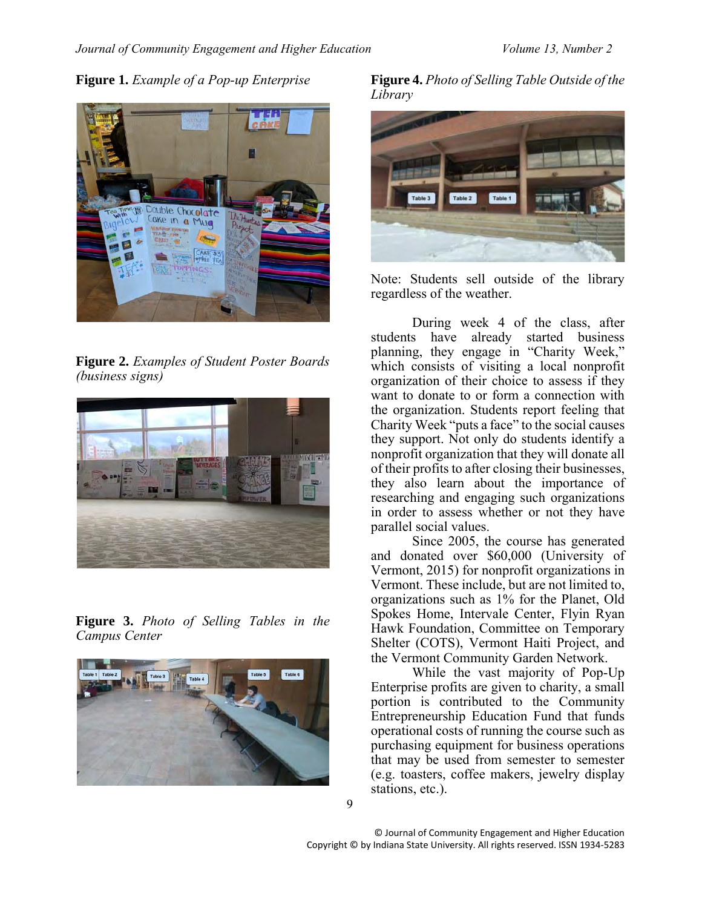<span id="page-4-0"></span>**Figure 1.** *Example of a Pop-up Enterprise*



**Figure 2.** *Examples of Student Poster Boards (business signs)*

<span id="page-4-1"></span>

**Figure 3.** *Photo of Selling Tables in the Campus Center*

<span id="page-4-2"></span>

<span id="page-4-3"></span>**Figure 4.** *Photo of Selling Table Outside of the Library*



Note: Students sell outside of the library regardless of the weather.

During week 4 of the class, after students have already started business planning, they engage in "Charity Week," which consists of visiting a local nonprofit organization of their choice to assess if they want to donate to or form a connection with the organization. Students report feeling that Charity Week "puts a face" to the social causes they support. Not only do students identify a nonprofit organization that they will donate all of their profits to after closing their businesses, they also learn about the importance of researching and engaging such organizations in order to assess whether or not they have parallel social values.

Since 2005, the course has generated and donated over \$60,000 (University of Vermont, 2015) for nonprofit organizations in Vermont. These include, but are not limited to, organizations such as 1% for the Planet, Old Spokes Home, Intervale Center, Flyin Ryan Hawk Foundation, Committee on Temporary Shelter (COTS), Vermont Haiti Project, and the Vermont Community Garden Network.

While the vast majority of Pop-Up Enterprise profits are given to charity, a small portion is contributed to the Community Entrepreneurship Education Fund that funds operational costs of running the course such as purchasing equipment for business operations that may be used from semester to semester (e.g. toasters, coffee makers, jewelry display stations, etc.).

© Journal of Community Engagement and Higher Education Copyright © by Indiana State University. All rights reserved. ISSN 1934-5283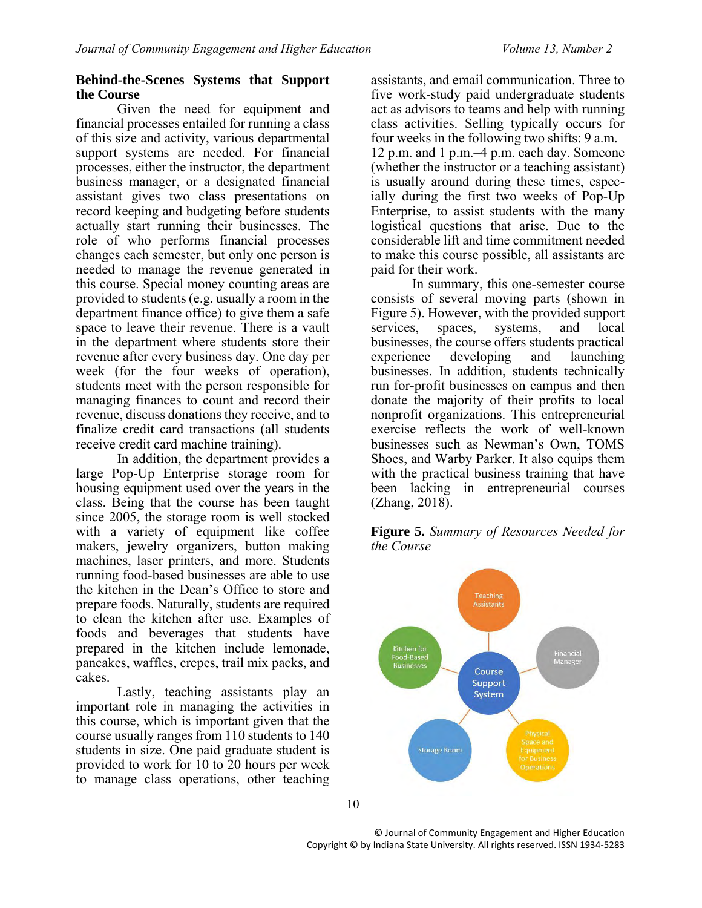## **Behind-the-Scenes Systems that Support the Course**

Given the need for equipment and financial processes entailed for running a class of this size and activity, various departmental support systems are needed. For financial processes, either the instructor, the department business manager, or a designated financial assistant gives two class presentations on record keeping and budgeting before students actually start running their businesses. The role of who performs financial processes changes each semester, but only one person is needed to manage the revenue generated in this course. Special money counting areas are provided to students (e.g. usually a room in the department finance office) to give them a safe space to leave their revenue. There is a vault in the department where students store their revenue after every business day. One day per week (for the four weeks of operation), students meet with the person responsible for managing finances to count and record their revenue, discuss donations they receive, and to finalize credit card transactions (all students receive credit card machine training).

In addition, the department provides a large Pop-Up Enterprise storage room for housing equipment used over the years in the class. Being that the course has been taught since 2005, the storage room is well stocked with a variety of equipment like coffee makers, jewelry organizers, button making machines, laser printers, and more. Students running food-based businesses are able to use the kitchen in the Dean's Office to store and prepare foods. Naturally, students are required to clean the kitchen after use. Examples of foods and beverages that students have prepared in the kitchen include lemonade, pancakes, waffles, crepes, trail mix packs, and cakes.

Lastly, teaching assistants play an important role in managing the activities in this course, which is important given that the course usually ranges from 110 students to 140 students in size. One paid graduate student is provided to work for 10 to 20 hours per week to manage class operations, other teaching

assistants, and email communication. Three to five work-study paid undergraduate students act as advisors to teams and help with running class activities. Selling typically occurs for four weeks in the following two shifts: 9 a.m.– 12 p.m. and 1 p.m.–4 p.m. each day. Someone (whether the instructor or a teaching assistant) is usually around during these times, especially during the first two weeks of Pop-Up Enterprise, to assist students with the many logistical questions that arise. Due to the considerable lift and time commitment needed to make this course possible, all assistants are paid for their work.

In summary, this one-semester course consists of several moving parts (shown in Figure 5). However, with the provided support services, spaces, systems, and local businesses, the course offers students practical experience developing and launching businesses. In addition, students technically run for-profit businesses on campus and then donate the majority of their profits to local nonprofit organizations. This entrepreneurial exercise reflects the work of well-known businesses such as Newman's Own, TOMS Shoes, and Warby Parker. It also equips them with the practical business training that have been lacking in entrepreneurial courses (Zhang, 2018).

**Figure 5.** *Summary of Resources Needed for the Course*



10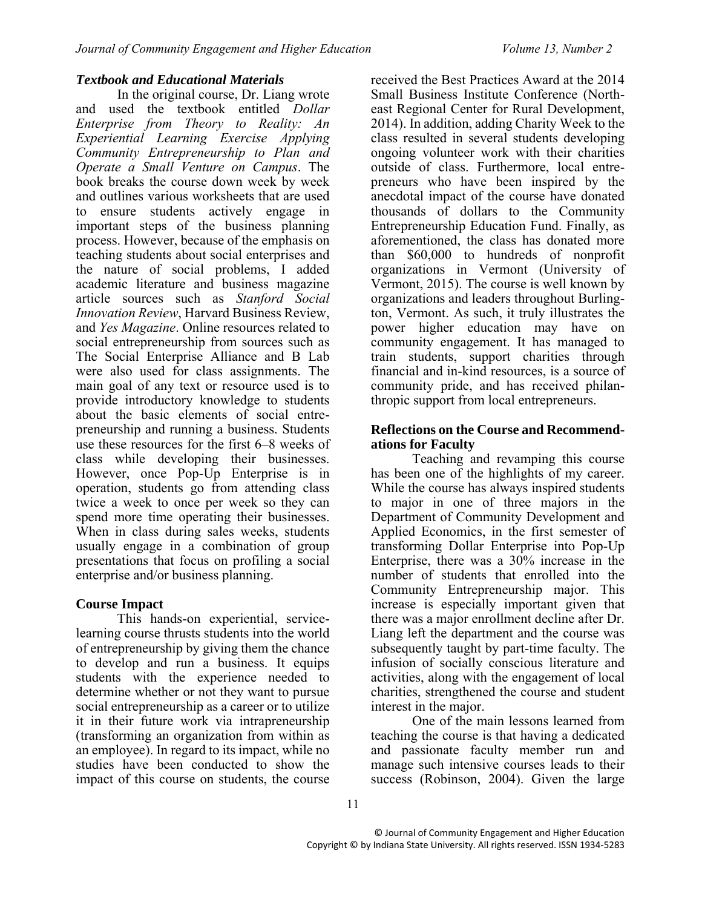#### *Textbook and Educational Materials*

In the original course, Dr. Liang wrote and used the textbook entitled *Dollar Enterprise from Theory to Reality: An Experiential Learning Exercise Applying Community Entrepreneurship to Plan and Operate a Small Venture on Campus*. The book breaks the course down week by week and outlines various worksheets that are used to ensure students actively engage in important steps of the business planning process. However, because of the emphasis on teaching students about social enterprises and the nature of social problems, I added academic literature and business magazine article sources such as *Stanford Social Innovation Review*, Harvard Business Review, and *Yes Magazine*. Online resources related to social entrepreneurship from sources such as The Social Enterprise Alliance and B Lab were also used for class assignments. The main goal of any text or resource used is to provide introductory knowledge to students about the basic elements of social entrepreneurship and running a business. Students use these resources for the first 6–8 weeks of class while developing their businesses. However, once Pop-Up Enterprise is in operation, students go from attending class twice a week to once per week so they can spend more time operating their businesses. When in class during sales weeks, students usually engage in a combination of group presentations that focus on profiling a social enterprise and/or business planning.

# **Course Impact**

This hands-on experiential, servicelearning course thrusts students into the world of entrepreneurship by giving them the chance to develop and run a business. It equips students with the experience needed to determine whether or not they want to pursue social entrepreneurship as a career or to utilize it in their future work via intrapreneurship (transforming an organization from within as an employee). In regard to its impact, while no studies have been conducted to show the impact of this course on students, the course received the Best Practices Award at the 2014 Small Business Institute Conference (Northeast Regional Center for Rural Development, 2014). In addition, adding Charity Week to the class resulted in several students developing ongoing volunteer work with their charities outside of class. Furthermore, local entrepreneurs who have been inspired by the anecdotal impact of the course have donated thousands of dollars to the Community Entrepreneurship Education Fund. Finally, as aforementioned, the class has donated more than \$60,000 to hundreds of nonprofit organizations in Vermont (University of Vermont, 2015). The course is well known by organizations and leaders throughout Burlington, Vermont. As such, it truly illustrates the power higher education may have on community engagement. It has managed to train students, support charities through financial and in-kind resources, is a source of community pride, and has received philanthropic support from local entrepreneurs.

#### **Reflections on the Course and Recommendations for Faculty**

Teaching and revamping this course has been one of the highlights of my career. While the course has always inspired students to major in one of three majors in the Department of Community Development and Applied Economics, in the first semester of transforming Dollar Enterprise into Pop-Up Enterprise, there was a 30% increase in the number of students that enrolled into the Community Entrepreneurship major. This increase is especially important given that there was a major enrollment decline after Dr. Liang left the department and the course was subsequently taught by part-time faculty. The infusion of socially conscious literature and activities, along with the engagement of local charities, strengthened the course and student interest in the major.

One of the main lessons learned from teaching the course is that having a dedicated and passionate faculty member run and manage such intensive courses leads to their success (Robinson, 2004). Given the large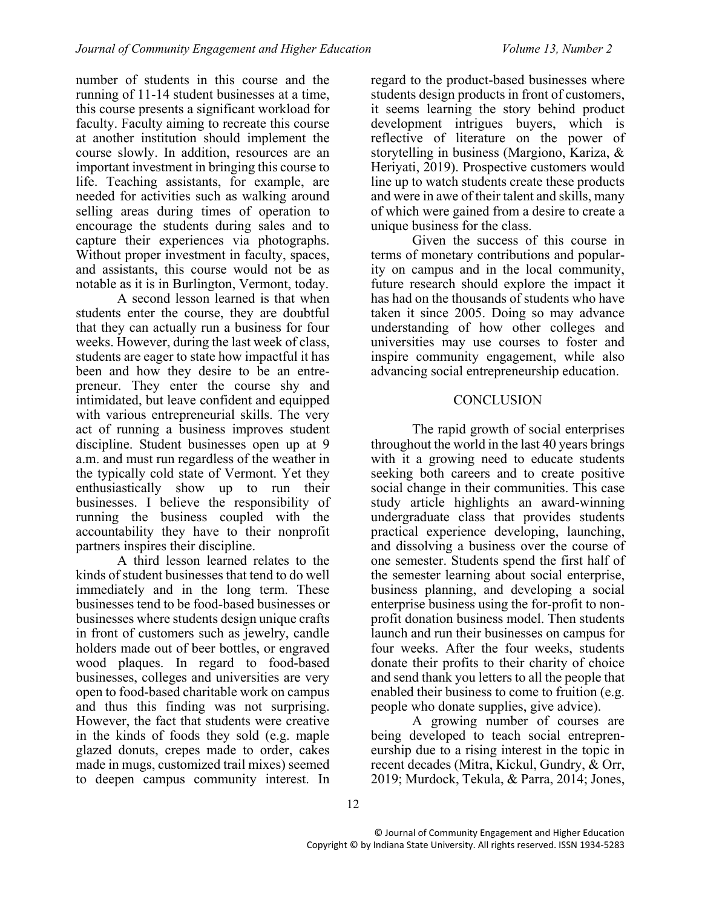number of students in this course and the running of 11-14 student businesses at a time, this course presents a significant workload for faculty. Faculty aiming to recreate this course at another institution should implement the course slowly. In addition, resources are an important investment in bringing this course to life. Teaching assistants, for example, are needed for activities such as walking around selling areas during times of operation to encourage the students during sales and to capture their experiences via photographs. Without proper investment in faculty, spaces, and assistants, this course would not be as notable as it is in Burlington, Vermont, today.

A second lesson learned is that when students enter the course, they are doubtful that they can actually run a business for four weeks. However, during the last week of class, students are eager to state how impactful it has been and how they desire to be an entrepreneur. They enter the course shy and intimidated, but leave confident and equipped with various entrepreneurial skills. The very act of running a business improves student discipline. Student businesses open up at 9 a.m. and must run regardless of the weather in the typically cold state of Vermont. Yet they enthusiastically show up to run their businesses. I believe the responsibility of running the business coupled with the accountability they have to their nonprofit partners inspires their discipline.

A third lesson learned relates to the kinds of student businesses that tend to do well immediately and in the long term. These businesses tend to be food-based businesses or businesses where students design unique crafts in front of customers such as jewelry, candle holders made out of beer bottles, or engraved wood plaques. In regard to food-based businesses, colleges and universities are very open to food-based charitable work on campus and thus this finding was not surprising. However, the fact that students were creative in the kinds of foods they sold (e.g. maple glazed donuts, crepes made to order, cakes made in mugs, customized trail mixes) seemed to deepen campus community interest. In regard to the product-based businesses where students design products in front of customers, it seems learning the story behind product development intrigues buyers, which is reflective of literature on the power of storytelling in business (Margiono, Kariza, & Heriyati, 2019). Prospective customers would line up to watch students create these products and were in awe of their talent and skills, many of which were gained from a desire to create a unique business for the class.

Given the success of this course in terms of monetary contributions and popularity on campus and in the local community, future research should explore the impact it has had on the thousands of students who have taken it since 2005. Doing so may advance understanding of how other colleges and universities may use courses to foster and inspire community engagement, while also advancing social entrepreneurship education.

## **CONCLUSION**

The rapid growth of social enterprises throughout the world in the last 40 years brings with it a growing need to educate students seeking both careers and to create positive social change in their communities. This case study article highlights an award-winning undergraduate class that provides students practical experience developing, launching, and dissolving a business over the course of one semester. Students spend the first half of the semester learning about social enterprise, business planning, and developing a social enterprise business using the for-profit to nonprofit donation business model. Then students launch and run their businesses on campus for four weeks. After the four weeks, students donate their profits to their charity of choice and send thank you letters to all the people that enabled their business to come to fruition (e.g. people who donate supplies, give advice).

A growing number of courses are being developed to teach social entrepreneurship due to a rising interest in the topic in recent decades (Mitra, Kickul, Gundry, & Orr, 2019; Murdock, Tekula, & Parra, 2014; Jones,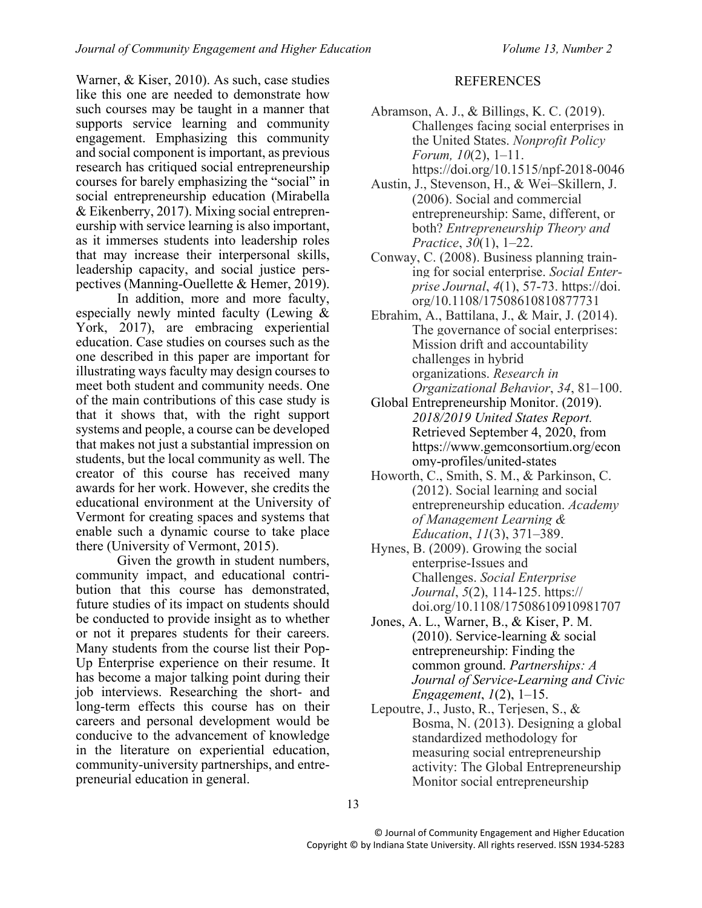Warner, & Kiser, 2010). As such, case studies like this one are needed to demonstrate how such courses may be taught in a manner that supports service learning and community engagement. Emphasizing this community and social component is important, as previous research has critiqued social entrepreneurship courses for barely emphasizing the "social" in social entrepreneurship education (Mirabella & Eikenberry, 2017). Mixing social entrepreneurship with service learning is also important, as it immerses students into leadership roles that may increase their interpersonal skills, leadership capacity, and social justice perspectives (Manning-Ouellette & Hemer, 2019).

In addition, more and more faculty, especially newly minted faculty (Lewing & York, 2017), are embracing experiential education. Case studies on courses such as the one described in this paper are important for illustrating ways faculty may design courses to meet both student and community needs. One of the main contributions of this case study is that it shows that, with the right support systems and people, a course can be developed that makes not just a substantial impression on students, but the local community as well. The creator of this course has received many awards for her work. However, she credits the educational environment at the University of Vermont for creating spaces and systems that enable such a dynamic course to take place there (University of Vermont, 2015).

Given the growth in student numbers, community impact, and educational contribution that this course has demonstrated, future studies of its impact on students should be conducted to provide insight as to whether or not it prepares students for their careers. Many students from the course list their Pop-Up Enterprise experience on their resume. It has become a major talking point during their job interviews. Researching the short- and long-term effects this course has on their careers and personal development would be conducive to the advancement of knowledge in the literature on experiential education, community-university partnerships, and entrepreneurial education in general.

#### REFERENCES

- Abramson, A. J., & Billings, K. C. (2019). Challenges facing social enterprises in the United States. *Nonprofit Policy Forum, 10*(2), 1–11.
	- https://doi.org/10.1515/npf-2018-0046
- Austin, J., Stevenson, H., & Wei–Skillern, J. (2006). Social and commercial entrepreneurship: Same, different, or both? *Entrepreneurship Theory and Practice*, *30*(1), 1–22.
- Conway, C. (2008). Business planning training for social enterprise. *Social Enterprise Journal*, *4*(1), 57-73. https://doi. org/10.1108/17508610810877731
- Ebrahim, A., Battilana, J., & Mair, J. (2014). The governance of social enterprises: Mission drift and accountability challenges in hybrid organizations. *Research in Organizational Behavior*, *34*, 81–100.
- Global Entrepreneurship Monitor. (2019). *2018/2019 United States Report.* Retrieved September 4, 2020, from [https://www.gemconsortium.org/econ](https://www.gemconsortium.org/economy-profiles/united-states) [omy-profiles/united-states](https://www.gemconsortium.org/economy-profiles/united-states)
- Howorth, C., Smith, S. M., & Parkinson, C. (2012). Social learning and social entrepreneurship education. *Academy of Management Learning & Education*, *11*(3), 371–389.
- Hynes, B. (2009). Growing the social enterprise-Issues and Challenges. *Social Enterprise Journal*, *5*(2), 114-125. https:// doi.org/10.1108/17508610910981707
- Jones, A. L., Warner, B., & Kiser, P. M. (2010). Service-learning & social entrepreneurship: Finding the common ground. *Partnerships: A Journal of Service-Learning and Civic Engagement*, *1*(2), 1–15.
- Lepoutre, J., Justo, R., Terjesen, S., & Bosma, N. (2013). Designing a global standardized methodology for measuring social entrepreneurship activity: The Global Entrepreneurship Monitor social entrepreneurship

13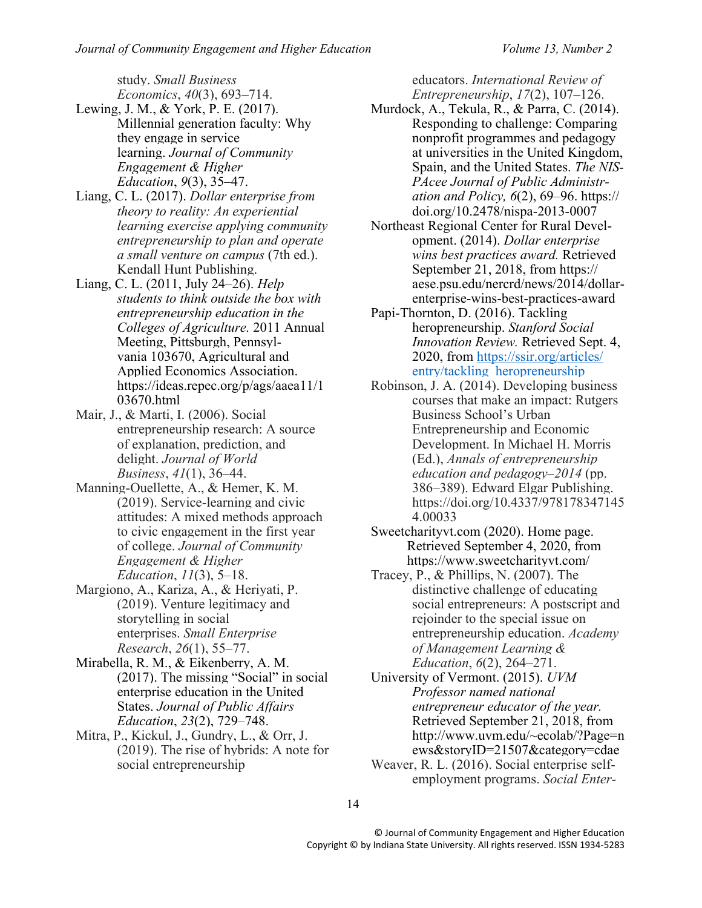study. *Small Business Economics*, *40*(3), 693–714.

- Lewing, J. M., & York, P. E. (2017). Millennial generation faculty: Why they engage in service learning. *Journal of Community Engagement & Higher Education*, *9*(3), 35–47.
- Liang, C. L. (2017). *Dollar enterprise from theory to reality: An experiential learning exercise applying community entrepreneurship to plan and operate a small venture on campus* (7th ed.). Kendall Hunt Publishing.
- Liang, C. L. (2011, July 24–26). *Help students to think outside the box with entrepreneurship education in the Colleges of Agriculture.* 2011 Annual Meeting, Pittsburgh, Pennsylvania 103670, Agricultural and Applied Economics Association. https://ideas.repec.org/p/ags/aaea11/1 03670.html
- Mair, J., & Marti, I. (2006). Social entrepreneurship research: A source of explanation, prediction, and delight. *Journal of World Business*, *41*(1), 36–44.
- Manning-Ouellette, A., & Hemer, K. M. (2019). Service-learning and civic attitudes: A mixed methods approach to civic engagement in the first year of college. *Journal of Community Engagement & Higher Education*, *11*(3), 5–18.
- Margiono, A., Kariza, A., & Heriyati, P. (2019). Venture legitimacy and storytelling in social enterprises. *Small Enterprise Research*, *26*(1), 55–77.
- Mirabella, R. M., & Eikenberry, A. M. (2017). The missing "Social" in social enterprise education in the United States. *Journal of Public Affairs Education*, *23*(2), 729–748.
- Mitra, P., Kickul, J., Gundry, L., & Orr, J. (2019). The rise of hybrids: A note for social entrepreneurship

educators. *International Review of Entrepreneurship*, *17*(2), 107–126.

- Murdock, A., Tekula, R., & Parra, C. (2014). Responding to challenge: Comparing nonprofit programmes and pedagogy at universities in the United Kingdom, Spain, and the United States. *The NIS-PAcee Journal of Public Administration and Policy, 6*(2), 69–96. [https://](https://doi.org/10.2478/nispa-2013-0007) [doi.org/10.2478/nispa-2013-0007](https://doi.org/10.2478/nispa-2013-0007)
- Northeast Regional Center for Rural Development. (2014). *Dollar enterprise wins best practices award.* Retrieved September 21, 2018, from [https://](https://aese.psu.edu/nercrd/news/2014/dollar-enterprise-wins-best-practices-award) [aese.psu.edu/nercrd/news/2014/dollar](https://aese.psu.edu/nercrd/news/2014/dollar-enterprise-wins-best-practices-award)[enterprise-wins-best-practices-award](https://aese.psu.edu/nercrd/news/2014/dollar-enterprise-wins-best-practices-award)
- Papi-Thornton, D. (2016). Tackling heropreneurship. *Stanford Social Innovation Review.* Retrieved Sept. 4, 2020, from [https://ssir.org/articles/](https://ssir.org/articles/%20entry/tackling_heropreneurship)  [entry/tackling\\_heropreneurship](https://ssir.org/articles/%20entry/tackling_heropreneurship)
- Robinson, J. A. (2014). Developing business courses that make an impact: Rutgers Business School's Urban Entrepreneurship and Economic Development. In Michael H. Morris (Ed.), *Annals of entrepreneurship education and pedagogy–2014* (pp. 386–389). Edward Elgar Publishing. https://doi.org/10.4337/978178347145 4.00033
- Sweetcharityvt.com (2020). Home page. Retrieved September 4, 2020, from <https://www.sweetcharityvt.com/>
- Tracey, P., & Phillips, N. (2007). The distinctive challenge of educating social entrepreneurs: A postscript and rejoinder to the special issue on entrepreneurship education. *Academy of Management Learning & Education*, *6*(2), 264–271.
- University of Vermont. (2015). *UVM Professor named national entrepreneur educator of the year.* Retrieved September 21, 2018, from [http://www.uvm.edu/~ecolab/?Page=n](http://www.uvm.edu/~ecolab/?Page=news&storyID=21507&category=cdae) [ews&storyID=21507&category=cdae](http://www.uvm.edu/~ecolab/?Page=news&storyID=21507&category=cdae)
- Weaver, R. L. (2016). Social enterprise selfemployment programs. *Social Enter-*

14